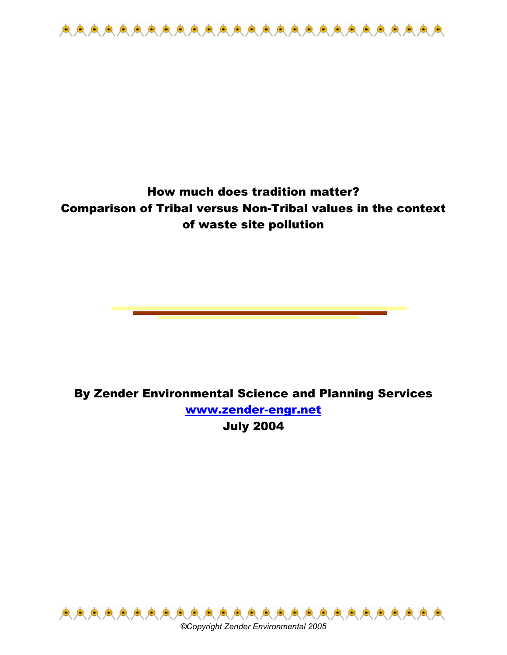

# How much does tradition matter? Comparison of Tribal versus Non-Tribal values in the context of waste site pollution

By Zender Environmental Science and Planning Services www.zender-engr.net July 2004



*©Copyright Zender Environmental 2005*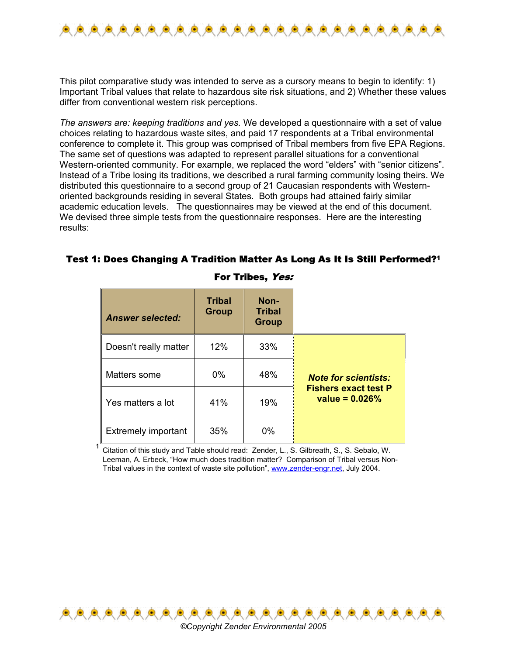

This pilot comparative study was intended to serve as a cursory means to begin to identify: 1) Important Tribal values that relate to hazardous site risk situations, and 2) Whether these values differ from conventional western risk perceptions.

*The answers are: keeping traditions and yes.* We developed a questionnaire with a set of value choices relating to hazardous waste sites, and paid 17 respondents at a Tribal environmental conference to complete it. This group was comprised of Tribal members from five EPA Regions. The same set of questions was adapted to represent parallel situations for a conventional Western-oriented community. For example, we replaced the word "elders" with "senior citizens". Instead of a Tribe losing its traditions, we described a rural farming community losing theirs. We distributed this questionnaire to a second group of 21 Caucasian respondents with Westernoriented backgrounds residing in several States. Both groups had attained fairly similar academic education levels. The questionnaires may be viewed at the end of this document. We devised three simple tests from the questionnaire responses. Here are the interesting results:

## Test 1: Does Changing A Tradition Matter As Long As It Is Still Performed?1

| <b>Answer selected:</b>    | <b>Tribal</b><br><b>Group</b> | Non-<br><b>Tribal</b><br><b>Group</b> |                                                 |
|----------------------------|-------------------------------|---------------------------------------|-------------------------------------------------|
| Doesn't really matter      | 12%                           | 33%                                   |                                                 |
| Matters some               | $0\%$                         | 48%                                   | <b>Note for scientists:</b>                     |
| Yes matters a lot          | 41%                           | 19%                                   | <b>Fishers exact test P</b><br>value = $0.026%$ |
| <b>Extremely important</b> | 35%                           | $0\%$                                 |                                                 |

### For Tribes, Yes:

<sup>1</sup> Citation of this study and Table should read: Zender, L., S. Gilbreath, S., S. Sebalo, W. Leeman, A. Erbeck, "How much does tradition matter? Comparison of Tribal versus Non-Tribal values in the context of waste site pollution", www.zender-engr.net, July 2004.

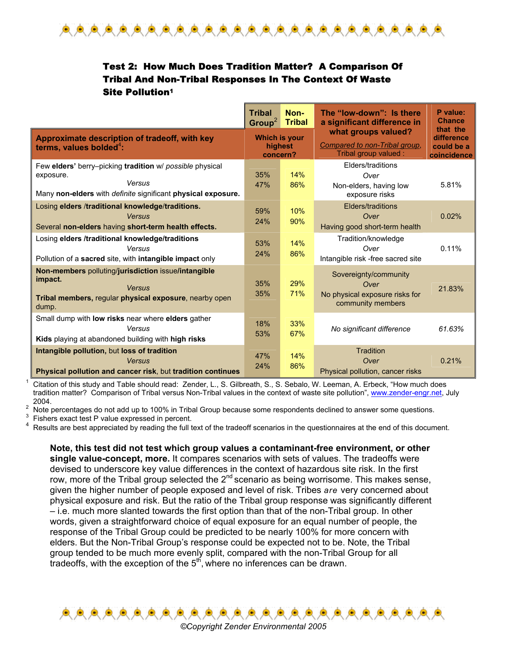

## Test 2: How Much Does Tradition Matter? A Comparison Of Tribal And Non-Tribal Responses In The Context Of Waste Site Pollution1

|                                                                                                                                                        | <b>Tribal</b><br>Group <sup>2</sup>  | Non-<br><b>Tribal</b> | The "low-down": Is there<br>a significant difference in                              | P value:<br><b>Chance</b>                           |
|--------------------------------------------------------------------------------------------------------------------------------------------------------|--------------------------------------|-----------------------|--------------------------------------------------------------------------------------|-----------------------------------------------------|
| Approximate description of tradeoff, with key<br>terms, values bolded <sup>4</sup> :                                                                   | Which is your<br>highest<br>concern? |                       | what groups valued?<br>Compared to non-Tribal group,<br>Tribal group valued:         | that the<br>difference<br>could be a<br>coincidence |
| Few elders' berry-picking tradition w/ possible physical<br>exposure.<br>Versus<br>Many non-elders with <i>definite</i> significant physical exposure. | 35%<br>47%                           | 14%<br>86%            | Elders/traditions<br>Over<br>Non-elders, having low<br>exposure risks                | 5.81%                                               |
| Losing elders /traditional knowledge/traditions.<br>Versus<br>Several non-elders having short-term health effects.                                     | 59%<br>24%                           | 10%<br>90%            | Elders/traditions<br>Over<br>Having good short-term health                           | 0.02%                                               |
| Losing elders /traditional knowledge/traditions<br>Versus<br>Pollution of a sacred site, with intangible impact only                                   | 53%<br>24%                           | 14%<br>86%            | Tradition/knowledge<br>Over<br>Intangible risk -free sacred site                     | 0.11%                                               |
| Non-members polluting/jurisdiction issue/intangible<br>impact.<br>Versus<br>Tribal members, regular physical exposure, nearby open<br>dump.            | 35%<br>35%                           | 29%<br>71%            | Sovereignty/community<br>Over<br>No physical exposure risks for<br>community members | 21.83%                                              |
| Small dump with <b>low risks</b> near where <b>elders</b> gather<br>Versus<br>Kids playing at abandoned building with high risks                       | 18%<br>53%                           | 33%<br>67%            | No significant difference                                                            | 61.63%                                              |
| Intangible pollution, but loss of tradition<br>Versus<br>Physical pollution and cancer risk, but tradition continues                                   |                                      | 14%<br>86%            | Tradition<br>Over<br>Physical pollution, cancer risks                                | 0.21%                                               |

<sup>1</sup> Citation of this study and Table should read: Zender, L., S. Gilbreath, S., S. Sebalo, W. Leeman, A. Erbeck, "How much does tradition matter? Comparison of Tribal versus Non-Tribal values in the context of waste site pollution", www.zender-engr.net, July  $2^{2004}$ .

Note percentages do not add up to 100% in Tribal Group because some respondents declined to answer some questions.

3 Fishers exact test P value expressed in percent.

Results are best appreciated by reading the full text of the tradeoff scenarios in the questionnaires at the end of this document.

**Note, this test did not test which group values a contaminant-free environment, or other single value-concept, more.** It compares scenarios with sets of values. The tradeoffs were devised to underscore key value differences in the context of hazardous site risk. In the first row, more of the Tribal group selected the  $2^{nd}$  scenario as being worrisome. This makes sense, given the higher number of people exposed and level of risk. Tribes *are* very concerned about physical exposure and risk. But the ratio of the Tribal group response was significantly different – i.e. much more slanted towards the first option than that of the non-Tribal group. In other words, given a straightforward choice of equal exposure for an equal number of people, the response of the Tribal Group could be predicted to be nearly 100% for more concern with elders. But the Non-Tribal Group's response could be expected not to be. Note, the Tribal group tended to be much more evenly split, compared with the non-Tribal Group for all tradeoffs, with the exception of the  $5<sup>th</sup>$ , where no inferences can be drawn.

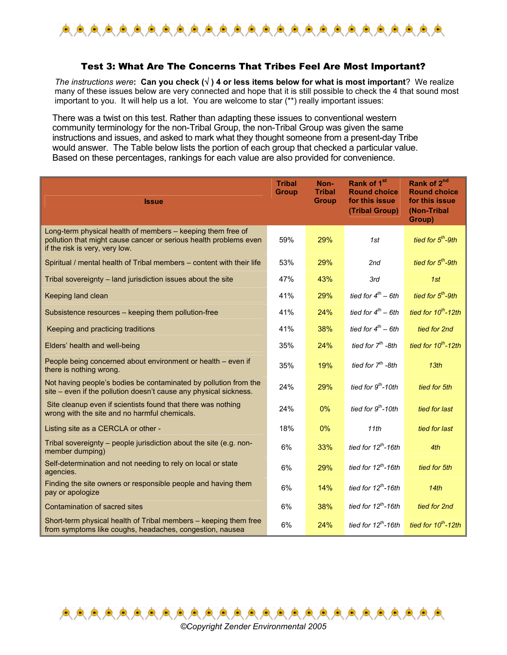

#### Test 3: What Are The Concerns That Tribes Feel Are Most Important?

*The instructions were***: Can you check (**√ **) 4 or less items below for what is most important**? We realize many of these issues below are very connected and hope that it is still possible to check the 4 that sound most important to you. It will help us a lot. You are welcome to star (\*\*) really important issues:

There was a twist on this test. Rather than adapting these issues to conventional western community terminology for the non-Tribal Group, the non-Tribal Group was given the same instructions and issues, and asked to mark what they thought someone from a present-day Tribe would answer. The Table below lists the portion of each group that checked a particular value. Based on these percentages, rankings for each value are also provided for convenience.

| <b>Issue</b>                                                                                                                                                       | <b>Tribal</b><br><b>Group</b> | Non-<br><b>Tribal</b><br><b>Group</b> | Rank of 1 <sup>st</sup><br><b>Round choice</b><br>for this issue<br>(Tribal Group) | Rank of 2 <sup>nd</sup><br><b>Round choice</b><br>for this issue<br>(Non-Tribal<br>Group) |
|--------------------------------------------------------------------------------------------------------------------------------------------------------------------|-------------------------------|---------------------------------------|------------------------------------------------------------------------------------|-------------------------------------------------------------------------------------------|
| Long-term physical health of members – keeping them free of<br>pollution that might cause cancer or serious health problems even<br>if the risk is very, very low. | 59%                           | 29%                                   | 1st                                                                                | tied for $5th$ -9th                                                                       |
| Spiritual / mental health of Tribal members - content with their life                                                                                              |                               | 29%                                   | 2nd                                                                                | tied for 5 <sup>th</sup> -9th                                                             |
| Tribal sovereignty - land jurisdiction issues about the site                                                                                                       | 47%                           | 43%                                   | 3rd                                                                                | 1st                                                                                       |
| Keeping land clean                                                                                                                                                 | 41%                           | 29%                                   | tied for $4^{th}$ - 6th                                                            | tied for 5 <sup>th</sup> -9th                                                             |
| Subsistence resources – keeping them pollution-free                                                                                                                | 41%                           | 24%                                   | tied for $4^{th}$ - 6th                                                            | tied for $10^{th}$ -12th                                                                  |
| Keeping and practicing traditions                                                                                                                                  | 41%                           | 38%                                   | tied for $4^{th}$ – 6th                                                            | tied for 2nd                                                                              |
| Elders' health and well-being                                                                                                                                      | 35%                           | 24%                                   | tied for $7th$ -8th                                                                | tied for $10^{th}$ -12th                                                                  |
| People being concerned about environment or health - even if<br>there is nothing wrong.                                                                            | 35%                           | 19%                                   | tied for 7 <sup>th</sup> -8th                                                      | 13th                                                                                      |
| Not having people's bodies be contaminated by pollution from the<br>site – even if the pollution doesn't cause any physical sickness.                              | 24%                           | 29%                                   | tied for 9 <sup>th</sup> -10th                                                     | tied for 5th                                                                              |
| Site cleanup even if scientists found that there was nothing<br>wrong with the site and no harmful chemicals.                                                      | 24%                           | 0%                                    | tied for 9 <sup>th</sup> -10th                                                     | tied for last                                                                             |
| Listing site as a CERCLA or other -                                                                                                                                | 18%                           | 0%                                    | 11th                                                                               | tied for last                                                                             |
| Tribal sovereignty - people jurisdiction about the site (e.g. non-<br>member dumping)                                                                              | 6%                            | 33%                                   | tied for $12^{th}$ -16th                                                           | 4th                                                                                       |
| Self-determination and not needing to rely on local or state<br>agencies.                                                                                          | 6%                            | 29%                                   | tied for $12^{th}$ -16th                                                           | tied for 5th                                                                              |
| Finding the site owners or responsible people and having them<br>pay or apologize                                                                                  | 6%                            | 14%                                   | tied for $12^{th}$ -16th                                                           | 14th                                                                                      |
| Contamination of sacred sites                                                                                                                                      | 6%                            | 38%                                   | tied for $12th$ -16th                                                              | tied for 2nd                                                                              |
| Short-term physical health of Tribal members – keeping them free<br>from symptoms like coughs, headaches, congestion, nausea                                       | 6%                            | 24%                                   | tied for $12^{th}$ -16th                                                           | tied for $10^{th}$ -12th                                                                  |



鱼鱼鱼鱼鱼鱼鱼鱼

鱼鱼鱼鱼鱼鱼鱼鱼鱼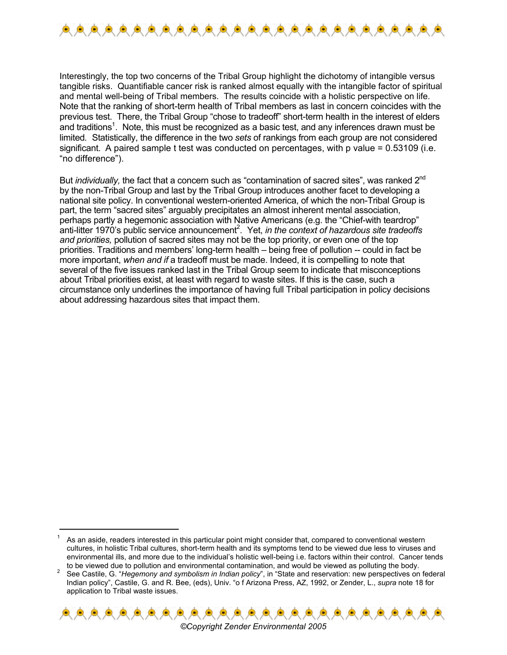

Interestingly, the top two concerns of the Tribal Group highlight the dichotomy of intangible versus tangible risks. Quantifiable cancer risk is ranked almost equally with the intangible factor of spiritual and mental well-being of Tribal members. The results coincide with a holistic perspective on life. Note that the ranking of short-term health of Tribal members as last in concern coincides with the previous test. There, the Tribal Group "chose to tradeoff" short-term health in the interest of elders and traditions<sup>1</sup>. Note, this must be recognized as a basic test, and any inferences drawn must be limited*.* Statistically, the difference in the two *sets* of rankings from each group are not considered significant. A paired sample t test was conducted on percentages, with p value = 0.53109 (i.e. "no difference").

But *individually*, the fact that a concern such as "contamination of sacred sites", was ranked 2<sup>nd</sup> by the non-Tribal Group and last by the Tribal Group introduces another facet to developing a national site policy. In conventional western-oriented America, of which the non-Tribal Group is part, the term "sacred sites" arguably precipitates an almost inherent mental association, perhaps partly a hegemonic association with Native Americans (e.g. the "Chief-with teardrop" anti-litter 1970's public service announcement<sup>2</sup>. Yet, *in the context of hazardous site tradeoffs and priorities,* pollution of sacred sites may not be the top priority, or even one of the top priorities. Traditions and members' long-term health – being free of pollution -- could in fact be more important, *when and if* a tradeoff must be made. Indeed, it is compelling to note that several of the five issues ranked last in the Tribal Group seem to indicate that misconceptions about Tribal priorities exist, at least with regard to waste sites. If this is the case, such a circumstance only underlines the importance of having full Tribal participation in policy decisions about addressing hazardous sites that impact them.

 $\overline{a}$ 

See Castile, G. "*Hegemony and symbolism in Indian policy*", in "State and reservation: new perspectives on federal Indian policy", Castile, G. and R. Bee, (eds), Univ. "o f Arizona Press, AZ, 1992, or Zender, L., *supra* note 18 for application to Tribal waste issues.



<sup>1</sup> As an aside, readers interested in this particular point might consider that, compared to conventional western cultures, in holistic Tribal cultures, short-term health and its symptoms tend to be viewed due less to viruses and environmental ills, and more due to the individual's holistic well-being i.e. factors within their control. Cancer tends to be viewed due to pollution and environmental contamination, and would be viewed as polluting the body. 2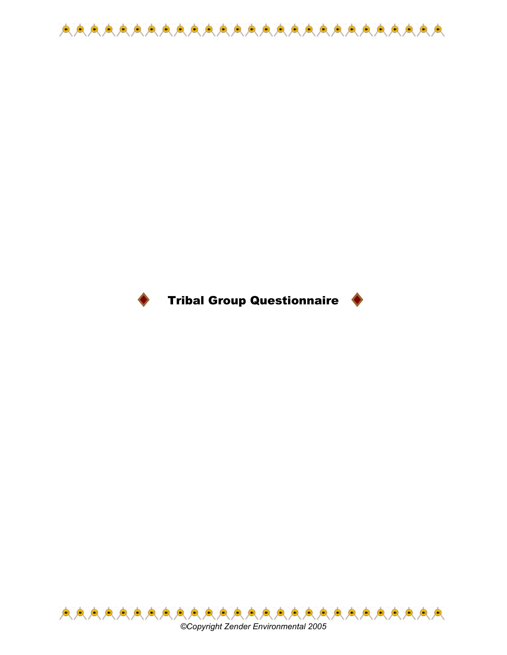



# Tribal Group Questionnaire



*©Copyright Zender Environmental 2005*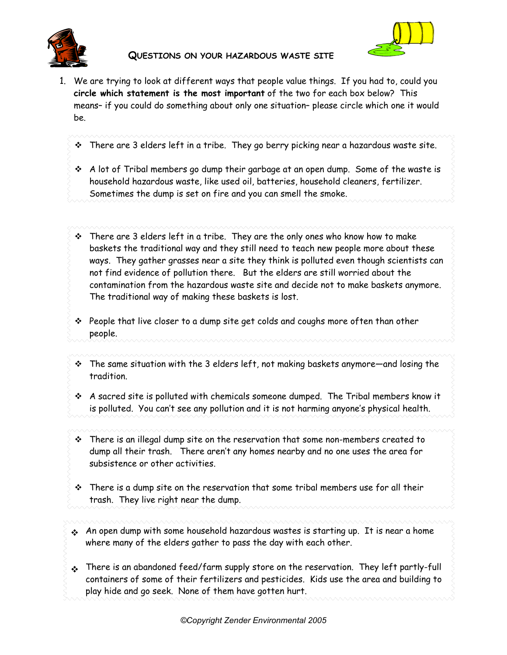

### **QUESTIONS ON YOUR HAZARDOUS WASTE SITE**



- 1. We are trying to look at different ways that people value things. If you had to, could you **circle which statement is the most important** of the two for each box below? This means– if you could do something about only one situation– please circle which one it would be.
	- There are 3 elders left in a tribe. They go berry picking near a hazardous waste site.
	- $\cdot$  A lot of Tribal members go dump their garbage at an open dump. Some of the waste is household hazardous waste, like used oil, batteries, household cleaners, fertilizer. Sometimes the dump is set on fire and you can smell the smoke.
	- There are 3 elders left in a tribe. They are the only ones who know how to make baskets the traditional way and they still need to teach new people more about these ways. They gather grasses near a site they think is polluted even though scientists can not find evidence of pollution there. But the elders are still worried about the contamination from the hazardous waste site and decide not to make baskets anymore. The traditional way of making these baskets is lost.
	- $\cdot \cdot$  People that live closer to a dump site get colds and coughs more often than other people.
	- The same situation with the 3 elders left, not making baskets anymore—and losing the tradition.
	- A sacred site is polluted with chemicals someone dumped. The Tribal members know it is polluted. You can't see any pollution and it is not harming anyone's physical health.
	- $\cdot \cdot$  There is an illegal dump site on the reservation that some non-members created to dump all their trash. There aren't any homes nearby and no one uses the area for subsistence or other activities.
	- $\cdot$  There is a dump site on the reservation that some tribal members use for all their trash. They live right near the dump.
	- An open dump with some household hazardous wastes is starting up. It is near a home where many of the elders gather to pass the day with each other.
	- There is an abandoned feed/farm supply store on the reservation. They left partly-full containers of some of their fertilizers and pesticides. Kids use the area and building to play hide and go seek. None of them have gotten hurt.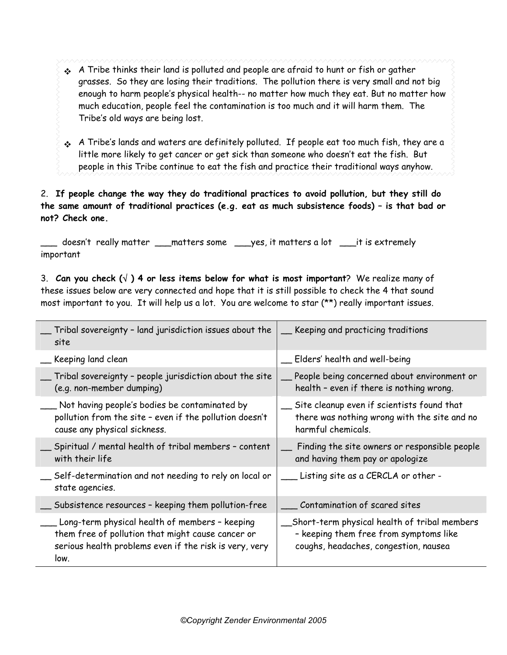- A Tribe thinks their land is polluted and people are afraid to hunt or fish or gather grasses. So they are losing their traditions. The pollution there is very small and not big enough to harm people's physical health-- no matter how much they eat. But no matter how much education, people feel the contamination is too much and it will harm them. The Tribe's old ways are being lost.
- A Tribe's lands and waters are definitely polluted. If people eat too much fish, they are a little more likely to get cancer or get sick than someone who doesn't eat the fish. But people in this Tribe continue to eat the fish and practice their traditional ways anyhow.

## 2. **If people change the way they do traditional practices to avoid pollution, but they still do the same amount of traditional practices (e.g. eat as much subsistence foods) – is that bad or not? Check one.**

\_\_\_ doesn't really matter \_\_\_matters some \_\_\_yes, it matters a lot \_\_\_it is extremely important

3. **Can you check (**√ **) 4 or less items below for what is most important**? We realize many of these issues below are very connected and hope that it is still possible to check the 4 that sound most important to you. It will help us a lot. You are welcome to star (\*\*) really important issues.

| Tribal sovereignty - land jurisdiction issues about the<br>site                                                                                                       | __ Keeping and practicing traditions                                                                                            |
|-----------------------------------------------------------------------------------------------------------------------------------------------------------------------|---------------------------------------------------------------------------------------------------------------------------------|
| Keeping land clean                                                                                                                                                    | Elders' health and well-being                                                                                                   |
| Tribal sovereignty - people jurisdiction about the site<br>(e.g. non-member dumping)                                                                                  | People being concerned about environment or<br>health - even if there is nothing wrong.                                         |
| Not having people's bodies be contaminated by<br>pollution from the site - even if the pollution doesn't<br>cause any physical sickness.                              | Site cleanup even if scientists found that<br>there was nothing wrong with the site and no<br>harmful chemicals.                |
| Spiritual / mental health of tribal members - content<br>with their life                                                                                              | Finding the site owners or responsible people<br>and having them pay or apologize                                               |
| Self-determination and not needing to rely on local or<br>state agencies.                                                                                             | Listing site as a CERCLA or other -                                                                                             |
| Subsistence resources - keeping them pollution-free                                                                                                                   | Contamination of scared sites                                                                                                   |
| Long-term physical health of members - keeping<br>them free of pollution that might cause cancer or<br>serious health problems even if the risk is very, very<br>low. | Short-term physical health of tribal members<br>- keeping them free from symptoms like<br>coughs, headaches, congestion, nausea |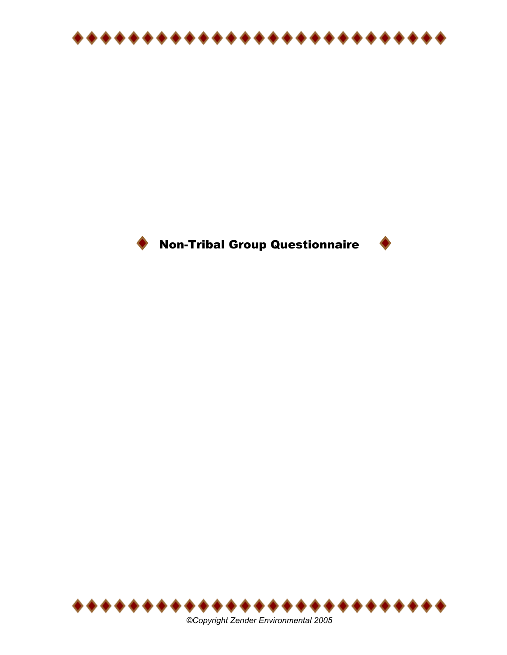





*©Copyright Zender Environmental 2005*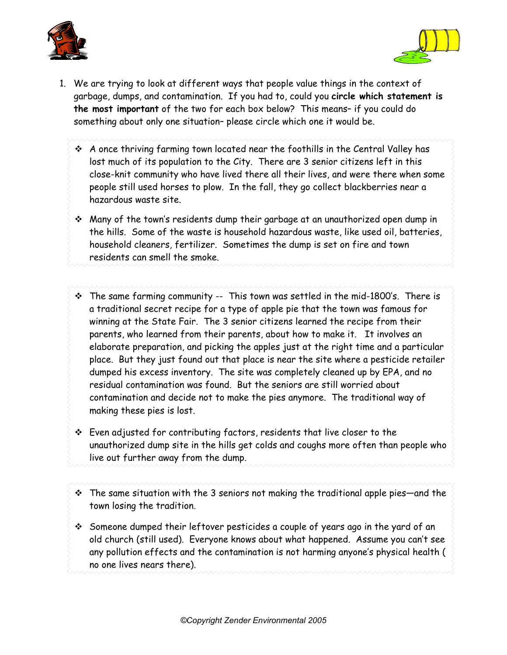



- 1. We are trying to look at different ways that people value things in the context of garbage, dumps, and contamination. If you had to, could you **circle which statement is the most important** of the two for each box below? This means– if you could do something about only one situation– please circle which one it would be.
	- $\div$  A once thriving farming town located near the foothills in the Central Valley has lost much of its population to the City. There are 3 senior citizens left in this close-knit community who have lived there all their lives, and were there when some people still used horses to plow. In the fall, they go collect blackberries near a hazardous waste site.
	- Many of the town's residents dump their garbage at an unauthorized open dump in the hills. Some of the waste is household hazardous waste, like used oil, batteries, household cleaners, fertilizer. Sometimes the dump is set on fire and town residents can smell the smoke.
	- $\cdot \cdot$  The same farming community -- This town was settled in the mid-1800's. There is a traditional secret recipe for a type of apple pie that the town was famous for winning at the State Fair. The 3 senior citizens learned the recipe from their parents, who learned from their parents, about how to make it. It involves an elaborate preparation, and picking the apples just at the right time and a particular place. But they just found out that place is near the site where a pesticide retailer dumped his excess inventory. The site was completely cleaned up by EPA, and no residual contamination was found. But the seniors are still worried about contamination and decide not to make the pies anymore. The traditional way of making these pies is lost.
	- Even adjusted for contributing factors, residents that live closer to the unauthorized dump site in the hills get colds and coughs more often than people who live out further away from the dump.
	- $\cdot$  The same situation with the 3 seniors not making the traditional apple pies—and the town losing the tradition.
	- $\hat{\mathbf{v}}$  Someone dumped their leftover pesticides a couple of years ago in the yard of an old church (still used). Everyone knows about what happened. Assume you can't see any pollution effects and the contamination is not harming anyone's physical health ( no one lives nears there).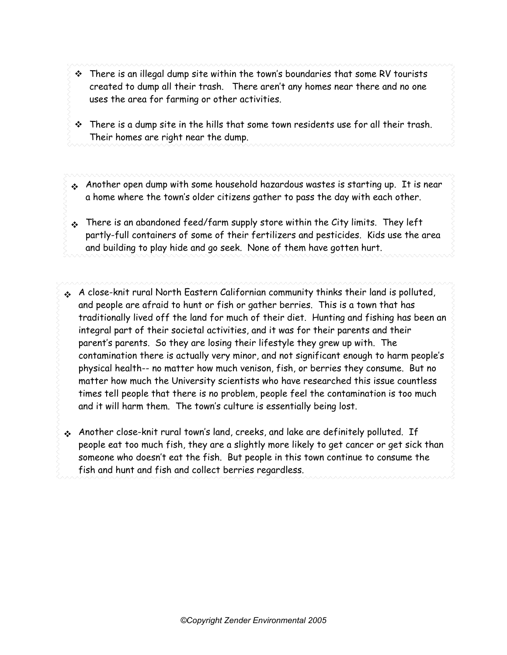- $\cdot \cdot$  There is an illegal dump site within the town's boundaries that some RV tourists created to dump all their trash. There aren't any homes near there and no one uses the area for farming or other activities.
- $\cdot \cdot$  There is a dump site in the hills that some town residents use for all their trash. Their homes are right near the dump.
- Another open dump with some household hazardous wastes is starting up. It is near a home where the town's older citizens gather to pass the day with each other.
- $\cdot$  There is an abandoned feed/farm supply store within the City limits. They left partly-full containers of some of their fertilizers and pesticides. Kids use the area and building to play hide and go seek. None of them have gotten hurt.
- A close-knit rural North Eastern Californian community thinks their land is polluted, and people are afraid to hunt or fish or gather berries. This is a town that has traditionally lived off the land for much of their diet. Hunting and fishing has been an integral part of their societal activities, and it was for their parents and their parent's parents. So they are losing their lifestyle they grew up with. The contamination there is actually very minor, and not significant enough to harm people's physical health-- no matter how much venison, fish, or berries they consume. But no matter how much the University scientists who have researched this issue countless times tell people that there is no problem, people feel the contamination is too much and it will harm them. The town's culture is essentially being lost.
- Another close-knit rural town's land, creeks, and lake are definitely polluted. If people eat too much fish, they are a slightly more likely to get cancer or get sick than someone who doesn't eat the fish. But people in this town continue to consume the fish and hunt and fish and collect berries regardless.